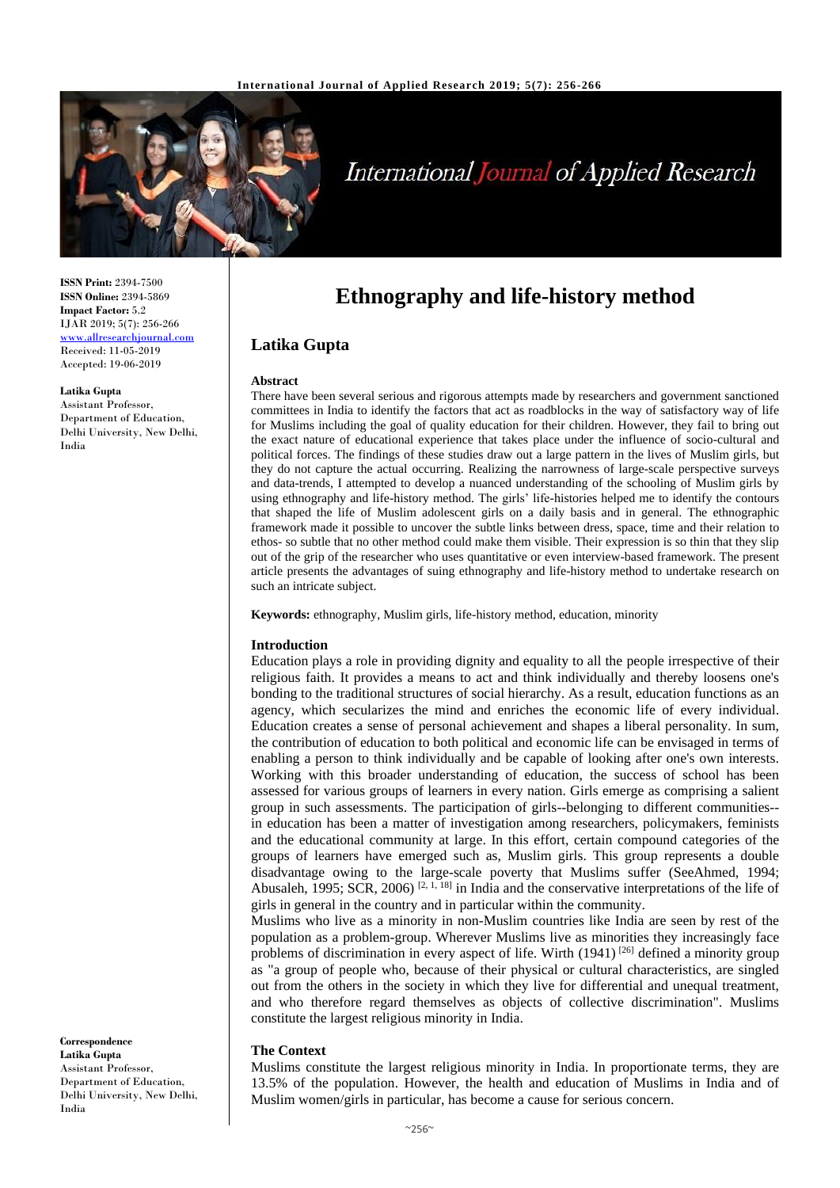

# **International Journal of Applied Research**

**ISSN Print:** 2394-7500 **ISSN Online:** 2394-5869 **Impact Factor:** 5.2 IJAR 2019; 5(7): 256-266 <www.allresearchjournal.com> Received: 11-05-2019 Accepted: 19-06-2019

#### **Latika Gupta**

Assistant Professor, Department of Education, Delhi University, New Delhi, India

**Correspondence Latika Gupta** Assistant Professor, Department of Education, Delhi University, New Delhi, India

# **Ethnography and life-history method**

## **Latika Gupta**

#### **Abstract**

There have been several serious and rigorous attempts made by researchers and government sanctioned committees in India to identify the factors that act as roadblocks in the way of satisfactory way of life for Muslims including the goal of quality education for their children. However, they fail to bring out the exact nature of educational experience that takes place under the influence of socio-cultural and political forces. The findings of these studies draw out a large pattern in the lives of Muslim girls, but they do not capture the actual occurring. Realizing the narrowness of large-scale perspective surveys and data-trends, I attempted to develop a nuanced understanding of the schooling of Muslim girls by using ethnography and life-history method. The girls' life-histories helped me to identify the contours that shaped the life of Muslim adolescent girls on a daily basis and in general. The ethnographic framework made it possible to uncover the subtle links between dress, space, time and their relation to ethos- so subtle that no other method could make them visible. Their expression is so thin that they slip out of the grip of the researcher who uses quantitative or even interview-based framework. The present article presents the advantages of suing ethnography and life-history method to undertake research on such an intricate subject.

**Keywords:** ethnography, Muslim girls, life-history method, education, minority

#### **Introduction**

Education plays a role in providing dignity and equality to all the people irrespective of their religious faith. It provides a means to act and think individually and thereby loosens one's bonding to the traditional structures of social hierarchy. As a result, education functions as an agency, which secularizes the mind and enriches the economic life of every individual. Education creates a sense of personal achievement and shapes a liberal personality. In sum, the contribution of education to both political and economic life can be envisaged in terms of enabling a person to think individually and be capable of looking after one's own interests. Working with this broader understanding of education, the success of school has been assessed for various groups of learners in every nation. Girls emerge as comprising a salient group in such assessments. The participation of girls--belonging to different communities- in education has been a matter of investigation among researchers, policymakers, feminists and the educational community at large. In this effort, certain compound categories of the groups of learners have emerged such as, Muslim girls. This group represents a double disadvantage owing to the large-scale poverty that Muslims suffer (SeeAhmed, 1994; Abusaleh, 1995; SCR, 2006)<sup>[2, 1, 18]</sup> in India and the conservative interpretations of the life of girls in general in the country and in particular within the community.

Muslims who live as a minority in non-Muslim countries like India are seen by rest of the population as a problem-group. Wherever Muslims live as minorities they increasingly face problems of discrimination in every aspect of life. Wirth  $(1941)^{26}$  defined a minority group as "a group of people who, because of their physical or cultural characteristics, are singled out from the others in the society in which they live for differential and unequal treatment, and who therefore regard themselves as objects of collective discrimination". Muslims constitute the largest religious minority in India.

#### **The Context**

Muslims constitute the largest religious minority in India. In proportionate terms, they are 13.5% of the population. However, the health and education of Muslims in India and of Muslim women/girls in particular, has become a cause for serious concern.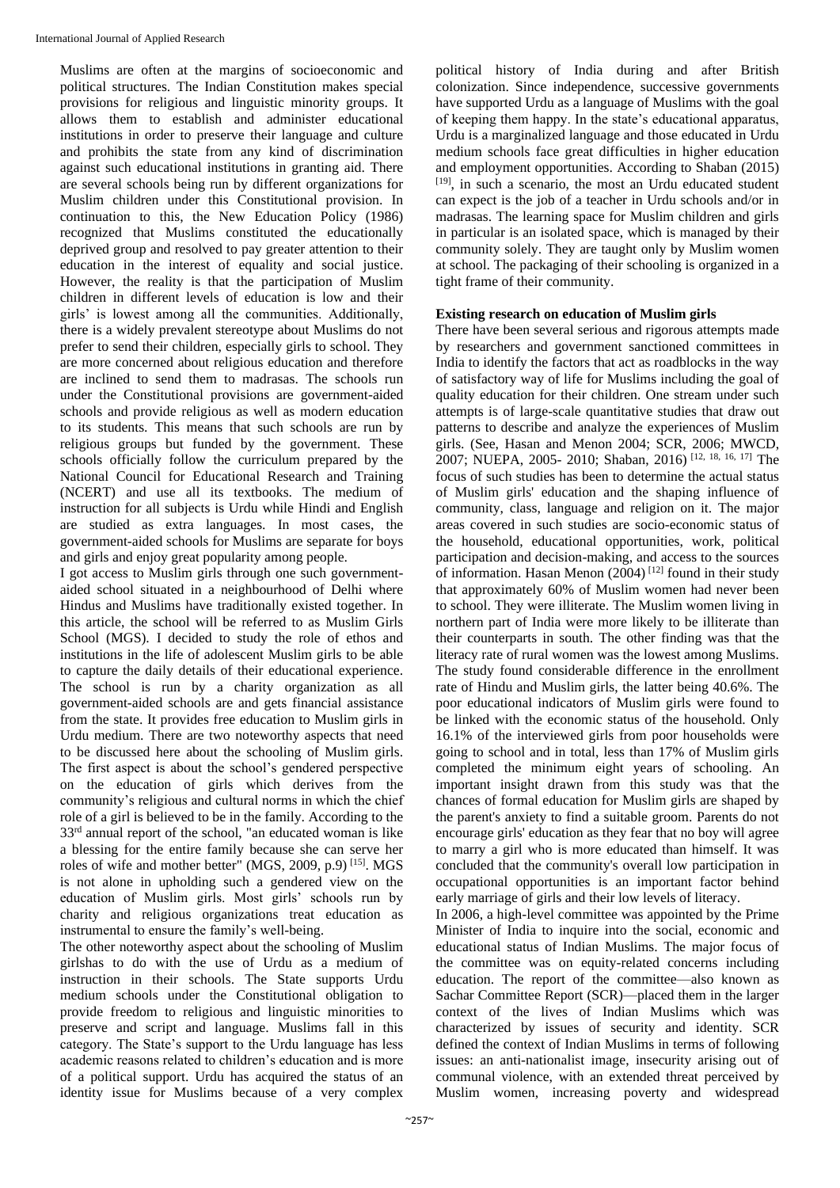Muslims are often at the margins of socioeconomic and political structures. The Indian Constitution makes special provisions for religious and linguistic minority groups. It allows them to establish and administer educational institutions in order to preserve their language and culture and prohibits the state from any kind of discrimination against such educational institutions in granting aid. There are several schools being run by different organizations for Muslim children under this Constitutional provision. In continuation to this, the New Education Policy (1986) recognized that Muslims constituted the educationally deprived group and resolved to pay greater attention to their education in the interest of equality and social justice. However, the reality is that the participation of Muslim children in different levels of education is low and their girls' is lowest among all the communities. Additionally, there is a widely prevalent stereotype about Muslims do not prefer to send their children, especially girls to school. They are more concerned about religious education and therefore are inclined to send them to madrasas. The schools run under the Constitutional provisions are government-aided schools and provide religious as well as modern education to its students. This means that such schools are run by religious groups but funded by the government. These schools officially follow the curriculum prepared by the National Council for Educational Research and Training (NCERT) and use all its textbooks. The medium of instruction for all subjects is Urdu while Hindi and English are studied as extra languages. In most cases, the government-aided schools for Muslims are separate for boys and girls and enjoy great popularity among people.

I got access to Muslim girls through one such governmentaided school situated in a neighbourhood of Delhi where Hindus and Muslims have traditionally existed together. In this article, the school will be referred to as Muslim Girls School (MGS). I decided to study the role of ethos and institutions in the life of adolescent Muslim girls to be able to capture the daily details of their educational experience. The school is run by a charity organization as all government-aided schools are and gets financial assistance from the state. It provides free education to Muslim girls in Urdu medium. There are two noteworthy aspects that need to be discussed here about the schooling of Muslim girls. The first aspect is about the school's gendered perspective on the education of girls which derives from the community's religious and cultural norms in which the chief role of a girl is believed to be in the family. According to the 33rd annual report of the school, "an educated woman is like a blessing for the entire family because she can serve her roles of wife and mother better" (MGS, 2009, p.9) [15]. MGS is not alone in upholding such a gendered view on the education of Muslim girls. Most girls' schools run by charity and religious organizations treat education as instrumental to ensure the family's well-being.

The other noteworthy aspect about the schooling of Muslim girlshas to do with the use of Urdu as a medium of instruction in their schools. The State supports Urdu medium schools under the Constitutional obligation to provide freedom to religious and linguistic minorities to preserve and script and language. Muslims fall in this category. The State's support to the Urdu language has less academic reasons related to children's education and is more of a political support. Urdu has acquired the status of an identity issue for Muslims because of a very complex

political history of India during and after British colonization. Since independence, successive governments have supported Urdu as a language of Muslims with the goal of keeping them happy. In the state's educational apparatus, Urdu is a marginalized language and those educated in Urdu medium schools face great difficulties in higher education and employment opportunities. According to Shaban (2015) [19], in such a scenario, the most an Urdu educated student can expect is the job of a teacher in Urdu schools and/or in madrasas. The learning space for Muslim children and girls in particular is an isolated space, which is managed by their community solely. They are taught only by Muslim women at school. The packaging of their schooling is organized in a tight frame of their community.

#### **Existing research on education of Muslim girls**

There have been several serious and rigorous attempts made by researchers and government sanctioned committees in India to identify the factors that act as roadblocks in the way of satisfactory way of life for Muslims including the goal of quality education for their children. One stream under such attempts is of large-scale quantitative studies that draw out patterns to describe and analyze the experiences of Muslim girls. (See, Hasan and Menon 2004; SCR, 2006; MWCD, 2007; NUEPA, 2005- 2010; Shaban, 2016) [12, 18, 16, 17] The focus of such studies has been to determine the actual status of Muslim girls' education and the shaping influence of community, class, language and religion on it. The major areas covered in such studies are socio-economic status of the household, educational opportunities, work, political participation and decision-making, and access to the sources of information. Hasan Menon (2004)<sup>[12]</sup> found in their study that approximately 60% of Muslim women had never been to school. They were illiterate. The Muslim women living in northern part of India were more likely to be illiterate than their counterparts in south. The other finding was that the literacy rate of rural women was the lowest among Muslims. The study found considerable difference in the enrollment rate of Hindu and Muslim girls, the latter being 40.6%. The poor educational indicators of Muslim girls were found to be linked with the economic status of the household. Only 16.1% of the interviewed girls from poor households were going to school and in total, less than 17% of Muslim girls completed the minimum eight years of schooling. An important insight drawn from this study was that the chances of formal education for Muslim girls are shaped by the parent's anxiety to find a suitable groom. Parents do not encourage girls' education as they fear that no boy will agree to marry a girl who is more educated than himself. It was concluded that the community's overall low participation in occupational opportunities is an important factor behind early marriage of girls and their low levels of literacy.

In 2006, a high-level committee was appointed by the Prime Minister of India to inquire into the social, economic and educational status of Indian Muslims. The major focus of the committee was on equity-related concerns including education. The report of the committee—also known as Sachar Committee Report (SCR)—placed them in the larger context of the lives of Indian Muslims which was characterized by issues of security and identity. SCR defined the context of Indian Muslims in terms of following issues: an anti-nationalist image, insecurity arising out of communal violence, with an extended threat perceived by Muslim women, increasing poverty and widespread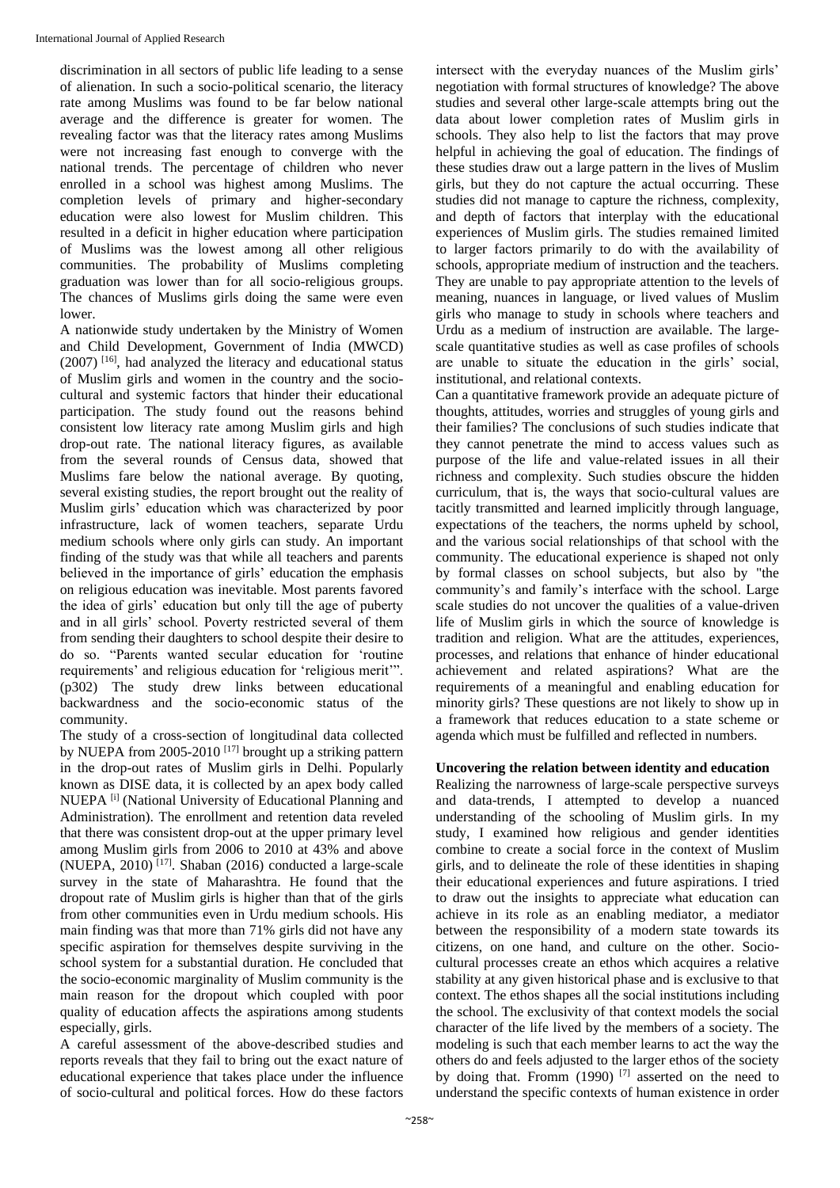discrimination in all sectors of public life leading to a sense of alienation. In such a socio-political scenario, the literacy rate among Muslims was found to be far below national average and the difference is greater for women. The revealing factor was that the literacy rates among Muslims were not increasing fast enough to converge with the national trends. The percentage of children who never enrolled in a school was highest among Muslims. The completion levels of primary and higher-secondary education were also lowest for Muslim children. This resulted in a deficit in higher education where participation of Muslims was the lowest among all other religious communities. The probability of Muslims completing graduation was lower than for all socio-religious groups. The chances of Muslims girls doing the same were even lower.

A nationwide study undertaken by the Ministry of Women and Child Development, Government of India (MWCD) (2007) [16] , had analyzed the literacy and educational status of Muslim girls and women in the country and the sociocultural and systemic factors that hinder their educational participation. The study found out the reasons behind consistent low literacy rate among Muslim girls and high drop-out rate. The national literacy figures, as available from the several rounds of Census data, showed that Muslims fare below the national average. By quoting, several existing studies, the report brought out the reality of Muslim girls' education which was characterized by poor infrastructure, lack of women teachers, separate Urdu medium schools where only girls can study. An important finding of the study was that while all teachers and parents believed in the importance of girls' education the emphasis on religious education was inevitable. Most parents favored the idea of girls' education but only till the age of puberty and in all girls' school. Poverty restricted several of them from sending their daughters to school despite their desire to do so. "Parents wanted secular education for 'routine requirements' and religious education for 'religious merit'". (p302) The study drew links between educational backwardness and the socio-economic status of the community.

The study of a cross-section of longitudinal data collected by NUEPA from 2005-2010<sup>[17]</sup> brought up a striking pattern in the drop-out rates of Muslim girls in Delhi. Popularly known as DISE data, it is collected by an apex body called NUEPA<sup>[i]</sup> (National University of Educational Planning and Administration). The enrollment and retention data reveled that there was consistent drop-out at the upper primary level among Muslim girls from 2006 to 2010 at 43% and above (NUEPA, 2010) [17] . Shaban (2016) conducted a large-scale survey in the state of Maharashtra. He found that the dropout rate of Muslim girls is higher than that of the girls from other communities even in Urdu medium schools. His main finding was that more than 71% girls did not have any specific aspiration for themselves despite surviving in the school system for a substantial duration. He concluded that the socio-economic marginality of Muslim community is the main reason for the dropout which coupled with poor quality of education affects the aspirations among students especially, girls.

A careful assessment of the above-described studies and reports reveals that they fail to bring out the exact nature of educational experience that takes place under the influence of socio-cultural and political forces. How do these factors

intersect with the everyday nuances of the Muslim girls' negotiation with formal structures of knowledge? The above studies and several other large-scale attempts bring out the data about lower completion rates of Muslim girls in schools. They also help to list the factors that may prove helpful in achieving the goal of education. The findings of these studies draw out a large pattern in the lives of Muslim girls, but they do not capture the actual occurring. These studies did not manage to capture the richness, complexity, and depth of factors that interplay with the educational experiences of Muslim girls. The studies remained limited to larger factors primarily to do with the availability of schools, appropriate medium of instruction and the teachers. They are unable to pay appropriate attention to the levels of meaning, nuances in language, or lived values of Muslim girls who manage to study in schools where teachers and Urdu as a medium of instruction are available. The largescale quantitative studies as well as case profiles of schools are unable to situate the education in the girls' social, institutional, and relational contexts.

Can a quantitative framework provide an adequate picture of thoughts, attitudes, worries and struggles of young girls and their families? The conclusions of such studies indicate that they cannot penetrate the mind to access values such as purpose of the life and value-related issues in all their richness and complexity. Such studies obscure the hidden curriculum, that is, the ways that socio-cultural values are tacitly transmitted and learned implicitly through language, expectations of the teachers, the norms upheld by school, and the various social relationships of that school with the community. The educational experience is shaped not only by formal classes on school subjects, but also by "the community's and family's interface with the school. Large scale studies do not uncover the qualities of a value-driven life of Muslim girls in which the source of knowledge is tradition and religion. What are the attitudes, experiences, processes, and relations that enhance of hinder educational achievement and related aspirations? What are the requirements of a meaningful and enabling education for minority girls? These questions are not likely to show up in a framework that reduces education to a state scheme or agenda which must be fulfilled and reflected in numbers.

#### **Uncovering the relation between identity and education**

Realizing the narrowness of large-scale perspective surveys and data-trends, I attempted to develop a nuanced understanding of the schooling of Muslim girls. In my study, I examined how religious and gender identities combine to create a social force in the context of Muslim girls, and to delineate the role of these identities in shaping their educational experiences and future aspirations. I tried to draw out the insights to appreciate what education can achieve in its role as an enabling mediator, a mediator between the responsibility of a modern state towards its citizens, on one hand, and culture on the other. Sociocultural processes create an ethos which acquires a relative stability at any given historical phase and is exclusive to that context. The ethos shapes all the social institutions including the school. The exclusivity of that context models the social character of the life lived by the members of a society. The modeling is such that each member learns to act the way the others do and feels adjusted to the larger ethos of the society by doing that. Fromm (1990)<sup>[7]</sup> asserted on the need to understand the specific contexts of human existence in order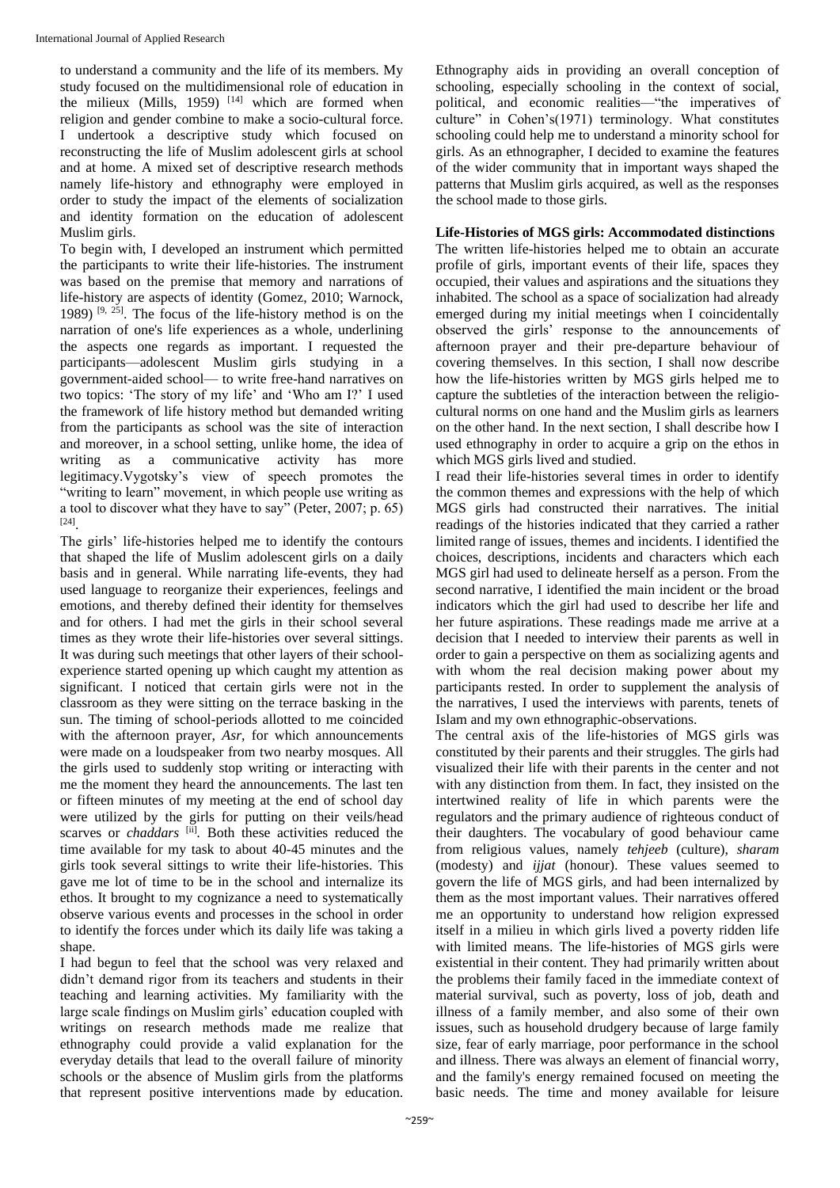to understand a community and the life of its members. My study focused on the multidimensional role of education in the milieux (Mills, 1959)  $[14]$  which are formed when religion and gender combine to make a socio-cultural force. I undertook a descriptive study which focused on reconstructing the life of Muslim adolescent girls at school and at home. A mixed set of descriptive research methods namely life-history and ethnography were employed in order to study the impact of the elements of socialization and identity formation on the education of adolescent Muslim girls.

To begin with, I developed an instrument which permitted the participants to write their life-histories. The instrument was based on the premise that memory and narrations of life-history are aspects of identity (Gomez, 2010; Warnock, 1989)  $[9, 25]$ . The focus of the life-history method is on the narration of one's life experiences as a whole, underlining the aspects one regards as important. I requested the participants—adolescent Muslim girls studying in a government-aided school— to write free-hand narratives on two topics: 'The story of my life' and 'Who am I?' I used the framework of life history method but demanded writing from the participants as school was the site of interaction and moreover, in a school setting, unlike home, the idea of writing as a communicative activity has more legitimacy.Vygotsky's view of speech promotes the "writing to learn" movement, in which people use writing as a tool to discover what they have to say" (Peter, 2007; p. 65) [24] .

The girls' life-histories helped me to identify the contours that shaped the life of Muslim adolescent girls on a daily basis and in general. While narrating life-events, they had used language to reorganize their experiences, feelings and emotions, and thereby defined their identity for themselves and for others. I had met the girls in their school several times as they wrote their life-histories over several sittings. It was during such meetings that other layers of their schoolexperience started opening up which caught my attention as significant. I noticed that certain girls were not in the classroom as they were sitting on the terrace basking in the sun. The timing of school-periods allotted to me coincided with the afternoon prayer, *Asr*, for which announcements were made on a loudspeaker from two nearby mosques. All the girls used to suddenly stop writing or interacting with me the moment they heard the announcements. The last ten or fifteen minutes of my meeting at the end of school day were utilized by the girls for putting on their veils/head scarves or *chaddars* [ii]. Both these activities reduced the time available for my task to about 40-45 minutes and the girls took several sittings to write their life-histories. This gave me lot of time to be in the school and internalize its ethos. It brought to my cognizance a need to systematically observe various events and processes in the school in order to identify the forces under which its daily life was taking a shape.

I had begun to feel that the school was very relaxed and didn't demand rigor from its teachers and students in their teaching and learning activities. My familiarity with the large scale findings on Muslim girls' education coupled with writings on research methods made me realize that ethnography could provide a valid explanation for the everyday details that lead to the overall failure of minority schools or the absence of Muslim girls from the platforms that represent positive interventions made by education.

Ethnography aids in providing an overall conception of schooling, especially schooling in the context of social, political, and economic realities—"the imperatives of culture" in Cohen's(1971) terminology. What constitutes schooling could help me to understand a minority school for girls. As an ethnographer, I decided to examine the features of the wider community that in important ways shaped the patterns that Muslim girls acquired, as well as the responses the school made to those girls.

## **Life-Histories of MGS girls: Accommodated distinctions**

The written life-histories helped me to obtain an accurate profile of girls, important events of their life, spaces they occupied, their values and aspirations and the situations they inhabited. The school as a space of socialization had already emerged during my initial meetings when I coincidentally observed the girls' response to the announcements of afternoon prayer and their pre-departure behaviour of covering themselves. In this section, I shall now describe how the life-histories written by MGS girls helped me to capture the subtleties of the interaction between the religiocultural norms on one hand and the Muslim girls as learners on the other hand. In the next section, I shall describe how I used ethnography in order to acquire a grip on the ethos in which MGS girls lived and studied.

I read their life-histories several times in order to identify the common themes and expressions with the help of which MGS girls had constructed their narratives. The initial readings of the histories indicated that they carried a rather limited range of issues, themes and incidents. I identified the choices, descriptions, incidents and characters which each MGS girl had used to delineate herself as a person. From the second narrative, I identified the main incident or the broad indicators which the girl had used to describe her life and her future aspirations. These readings made me arrive at a decision that I needed to interview their parents as well in order to gain a perspective on them as socializing agents and with whom the real decision making power about my participants rested. In order to supplement the analysis of the narratives, I used the interviews with parents, tenets of Islam and my own ethnographic-observations.

The central axis of the life-histories of MGS girls was constituted by their parents and their struggles. The girls had visualized their life with their parents in the center and not with any distinction from them. In fact, they insisted on the intertwined reality of life in which parents were the regulators and the primary audience of righteous conduct of their daughters. The vocabulary of good behaviour came from religious values, namely *tehjeeb* (culture), *sharam* (modesty) and *ijjat* (honour). These values seemed to govern the life of MGS girls, and had been internalized by them as the most important values. Their narratives offered me an opportunity to understand how religion expressed itself in a milieu in which girls lived a poverty ridden life with limited means. The life-histories of MGS girls were existential in their content. They had primarily written about the problems their family faced in the immediate context of material survival, such as poverty, loss of job, death and illness of a family member, and also some of their own issues, such as household drudgery because of large family size, fear of early marriage, poor performance in the school and illness. There was always an element of financial worry, and the family's energy remained focused on meeting the basic needs. The time and money available for leisure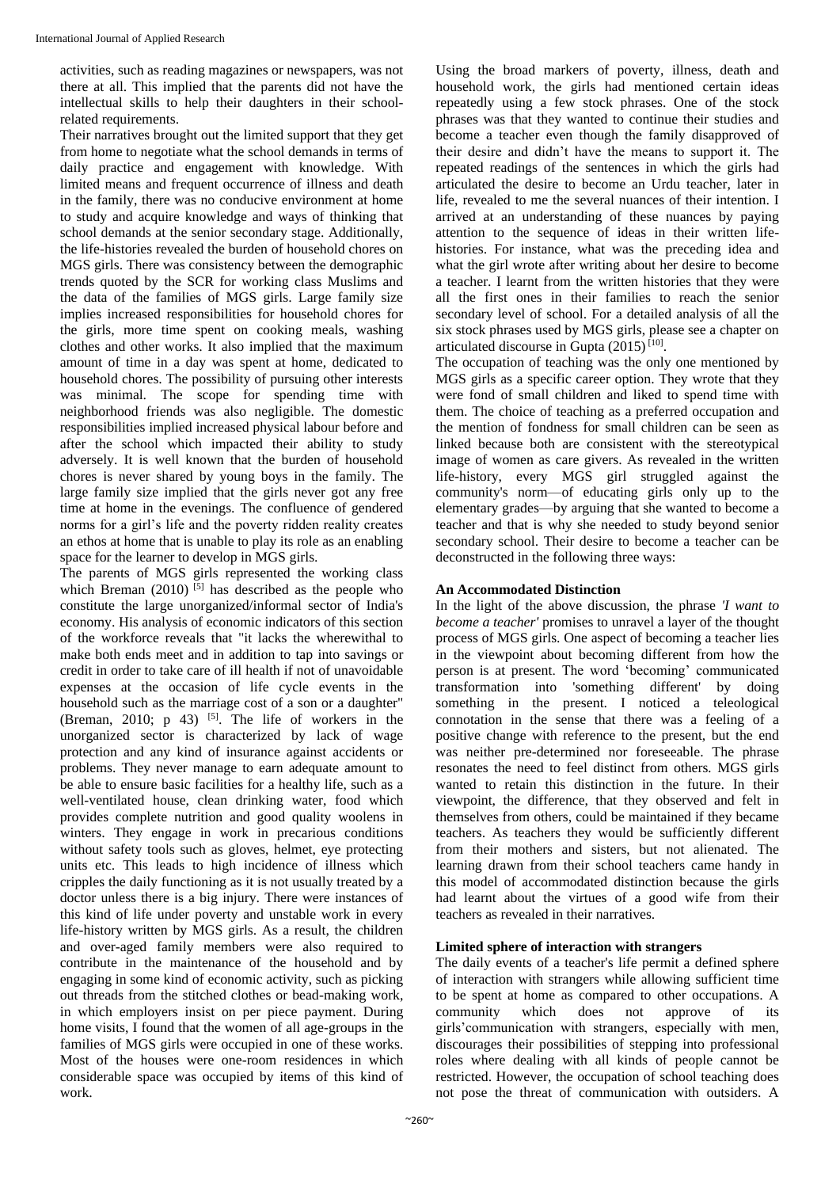activities, such as reading magazines or newspapers, was not there at all. This implied that the parents did not have the intellectual skills to help their daughters in their schoolrelated requirements.

Their narratives brought out the limited support that they get from home to negotiate what the school demands in terms of daily practice and engagement with knowledge. With limited means and frequent occurrence of illness and death in the family, there was no conducive environment at home to study and acquire knowledge and ways of thinking that school demands at the senior secondary stage. Additionally, the life-histories revealed the burden of household chores on MGS girls. There was consistency between the demographic trends quoted by the SCR for working class Muslims and the data of the families of MGS girls. Large family size implies increased responsibilities for household chores for the girls, more time spent on cooking meals, washing clothes and other works. It also implied that the maximum amount of time in a day was spent at home, dedicated to household chores. The possibility of pursuing other interests was minimal. The scope for spending time with neighborhood friends was also negligible. The domestic responsibilities implied increased physical labour before and after the school which impacted their ability to study adversely. It is well known that the burden of household chores is never shared by young boys in the family. The large family size implied that the girls never got any free time at home in the evenings. The confluence of gendered norms for a girl's life and the poverty ridden reality creates an ethos at home that is unable to play its role as an enabling space for the learner to develop in MGS girls.

The parents of MGS girls represented the working class which Breman  $(2010)$  <sup>[5]</sup> has described as the people who constitute the large unorganized/informal sector of India's economy. His analysis of economic indicators of this section of the workforce reveals that "it lacks the wherewithal to make both ends meet and in addition to tap into savings or credit in order to take care of ill health if not of unavoidable expenses at the occasion of life cycle events in the household such as the marriage cost of a son or a daughter" (Breman, 2010;  $p(43)$  <sup>[5]</sup>. The life of workers in the unorganized sector is characterized by lack of wage protection and any kind of insurance against accidents or problems. They never manage to earn adequate amount to be able to ensure basic facilities for a healthy life, such as a well-ventilated house, clean drinking water, food which provides complete nutrition and good quality woolens in winters. They engage in work in precarious conditions without safety tools such as gloves, helmet, eye protecting units etc. This leads to high incidence of illness which cripples the daily functioning as it is not usually treated by a doctor unless there is a big injury. There were instances of this kind of life under poverty and unstable work in every life-history written by MGS girls. As a result, the children and over-aged family members were also required to contribute in the maintenance of the household and by engaging in some kind of economic activity, such as picking out threads from the stitched clothes or bead-making work, in which employers insist on per piece payment. During home visits, I found that the women of all age-groups in the families of MGS girls were occupied in one of these works. Most of the houses were one-room residences in which considerable space was occupied by items of this kind of work.

Using the broad markers of poverty, illness, death and household work, the girls had mentioned certain ideas repeatedly using a few stock phrases. One of the stock phrases was that they wanted to continue their studies and become a teacher even though the family disapproved of their desire and didn't have the means to support it. The repeated readings of the sentences in which the girls had articulated the desire to become an Urdu teacher, later in life, revealed to me the several nuances of their intention. I arrived at an understanding of these nuances by paying attention to the sequence of ideas in their written lifehistories. For instance, what was the preceding idea and what the girl wrote after writing about her desire to become a teacher. I learnt from the written histories that they were all the first ones in their families to reach the senior secondary level of school. For a detailed analysis of all the six stock phrases used by MGS girls, please see a chapter on articulated discourse in Gupta (2015)<sup>[10]</sup>.

The occupation of teaching was the only one mentioned by MGS girls as a specific career option. They wrote that they were fond of small children and liked to spend time with them. The choice of teaching as a preferred occupation and the mention of fondness for small children can be seen as linked because both are consistent with the stereotypical image of women as care givers. As revealed in the written life-history, every MGS girl struggled against the community's norm—of educating girls only up to the elementary grades—by arguing that she wanted to become a teacher and that is why she needed to study beyond senior secondary school. Their desire to become a teacher can be deconstructed in the following three ways:

## **An Accommodated Distinction**

In the light of the above discussion, the phrase *'I want to become a teacher'* promises to unravel a layer of the thought process of MGS girls. One aspect of becoming a teacher lies in the viewpoint about becoming different from how the person is at present. The word 'becoming' communicated transformation into 'something different' by doing something in the present. I noticed a teleological connotation in the sense that there was a feeling of a positive change with reference to the present, but the end was neither pre-determined nor foreseeable. The phrase resonates the need to feel distinct from others*.* MGS girls wanted to retain this distinction in the future. In their viewpoint, the difference, that they observed and felt in themselves from others, could be maintained if they became teachers. As teachers they would be sufficiently different from their mothers and sisters, but not alienated. The learning drawn from their school teachers came handy in this model of accommodated distinction because the girls had learnt about the virtues of a good wife from their teachers as revealed in their narratives.

#### **Limited sphere of interaction with strangers**

The daily events of a teacher's life permit a defined sphere of interaction with strangers while allowing sufficient time to be spent at home as compared to other occupations. A community which does not approve of its girls'communication with strangers, especially with men, discourages their possibilities of stepping into professional roles where dealing with all kinds of people cannot be restricted. However, the occupation of school teaching does not pose the threat of communication with outsiders. A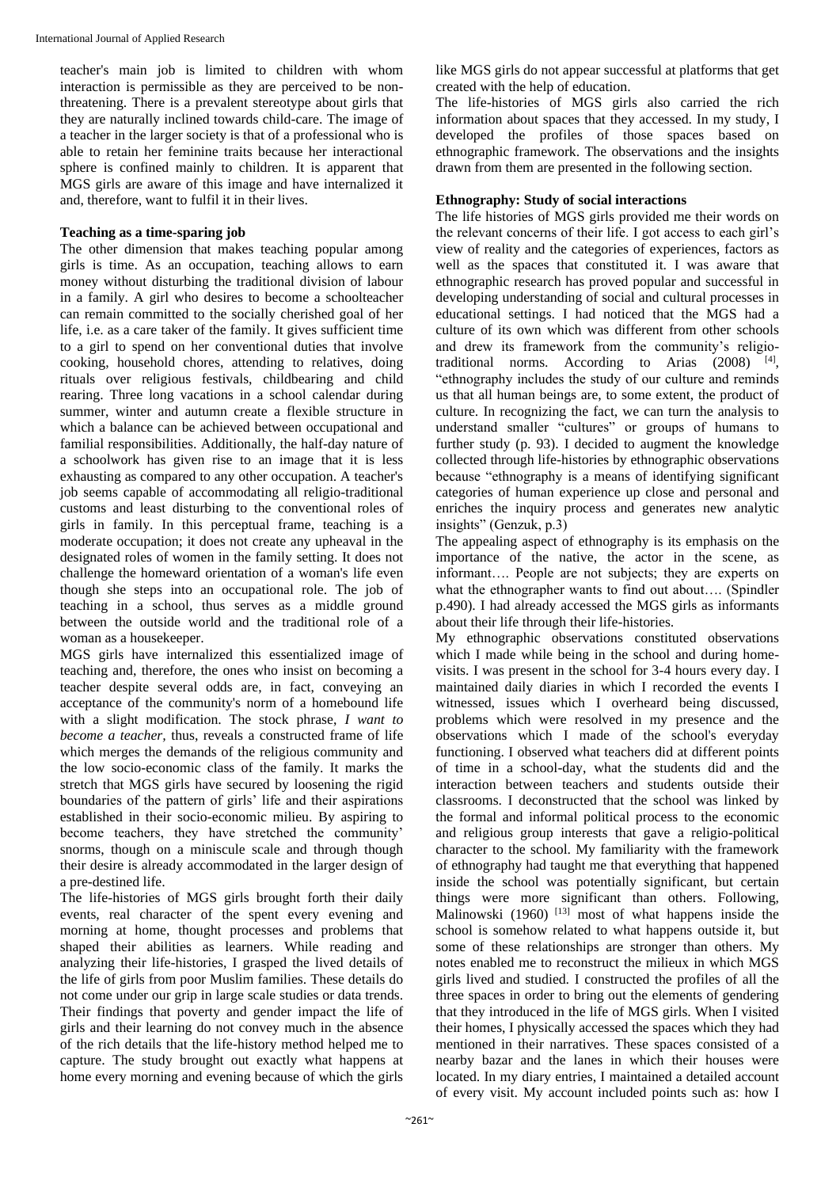teacher's main job is limited to children with whom interaction is permissible as they are perceived to be nonthreatening. There is a prevalent stereotype about girls that they are naturally inclined towards child-care. The image of a teacher in the larger society is that of a professional who is able to retain her feminine traits because her interactional sphere is confined mainly to children. It is apparent that MGS girls are aware of this image and have internalized it and, therefore, want to fulfil it in their lives.

#### **Teaching as a time-sparing job**

The other dimension that makes teaching popular among girls is time. As an occupation, teaching allows to earn money without disturbing the traditional division of labour in a family. A girl who desires to become a schoolteacher can remain committed to the socially cherished goal of her life, i.e. as a care taker of the family. It gives sufficient time to a girl to spend on her conventional duties that involve cooking, household chores, attending to relatives, doing rituals over religious festivals, childbearing and child rearing. Three long vacations in a school calendar during summer, winter and autumn create a flexible structure in which a balance can be achieved between occupational and familial responsibilities. Additionally, the half-day nature of a schoolwork has given rise to an image that it is less exhausting as compared to any other occupation. A teacher's job seems capable of accommodating all religio-traditional customs and least disturbing to the conventional roles of girls in family. In this perceptual frame, teaching is a moderate occupation; it does not create any upheaval in the designated roles of women in the family setting. It does not challenge the homeward orientation of a woman's life even though she steps into an occupational role. The job of teaching in a school, thus serves as a middle ground between the outside world and the traditional role of a woman as a housekeeper.

MGS girls have internalized this essentialized image of teaching and, therefore, the ones who insist on becoming a teacher despite several odds are, in fact, conveying an acceptance of the community's norm of a homebound life with a slight modification. The stock phrase, *I want to become a teacher,* thus, reveals a constructed frame of life which merges the demands of the religious community and the low socio-economic class of the family. It marks the stretch that MGS girls have secured by loosening the rigid boundaries of the pattern of girls' life and their aspirations established in their socio-economic milieu. By aspiring to become teachers, they have stretched the community' snorms, though on a miniscule scale and through though their desire is already accommodated in the larger design of a pre-destined life.

The life-histories of MGS girls brought forth their daily events, real character of the spent every evening and morning at home, thought processes and problems that shaped their abilities as learners. While reading and analyzing their life-histories, I grasped the lived details of the life of girls from poor Muslim families. These details do not come under our grip in large scale studies or data trends. Their findings that poverty and gender impact the life of girls and their learning do not convey much in the absence of the rich details that the life-history method helped me to capture. The study brought out exactly what happens at home every morning and evening because of which the girls

like MGS girls do not appear successful at platforms that get created with the help of education.

The life-histories of MGS girls also carried the rich information about spaces that they accessed. In my study, I developed the profiles of those spaces based on ethnographic framework. The observations and the insights drawn from them are presented in the following section.

# **Ethnography: Study of social interactions**

The life histories of MGS girls provided me their words on the relevant concerns of their life. I got access to each girl's view of reality and the categories of experiences, factors as well as the spaces that constituted it. I was aware that ethnographic research has proved popular and successful in developing understanding of social and cultural processes in educational settings. I had noticed that the MGS had a culture of its own which was different from other schools and drew its framework from the community's religiotraditional norms. According to Arias (2008) <sup>[4]</sup>, "ethnography includes the study of our culture and reminds us that all human beings are, to some extent, the product of culture. In recognizing the fact, we can turn the analysis to understand smaller "cultures" or groups of humans to further study (p. 93). I decided to augment the knowledge collected through life-histories by ethnographic observations because "ethnography is a means of identifying significant categories of human experience up close and personal and enriches the inquiry process and generates new analytic insights" (Genzuk, p.3)

The appealing aspect of ethnography is its emphasis on the importance of the native, the actor in the scene, as informant…. People are not subjects; they are experts on what the ethnographer wants to find out about…. (Spindler p.490). I had already accessed the MGS girls as informants about their life through their life-histories.

My ethnographic observations constituted observations which I made while being in the school and during homevisits. I was present in the school for 3-4 hours every day. I maintained daily diaries in which I recorded the events I witnessed, issues which I overheard being discussed, problems which were resolved in my presence and the observations which I made of the school's everyday functioning. I observed what teachers did at different points of time in a school-day, what the students did and the interaction between teachers and students outside their classrooms. I deconstructed that the school was linked by the formal and informal political process to the economic and religious group interests that gave a religio-political character to the school. My familiarity with the framework of ethnography had taught me that everything that happened inside the school was potentially significant, but certain things were more significant than others. Following, Malinowski  $(1960)$ <sup>[13]</sup> most of what happens inside the school is somehow related to what happens outside it, but some of these relationships are stronger than others. My notes enabled me to reconstruct the milieux in which MGS girls lived and studied. I constructed the profiles of all the three spaces in order to bring out the elements of gendering that they introduced in the life of MGS girls. When I visited their homes, I physically accessed the spaces which they had mentioned in their narratives. These spaces consisted of a nearby bazar and the lanes in which their houses were located. In my diary entries, I maintained a detailed account of every visit. My account included points such as: how I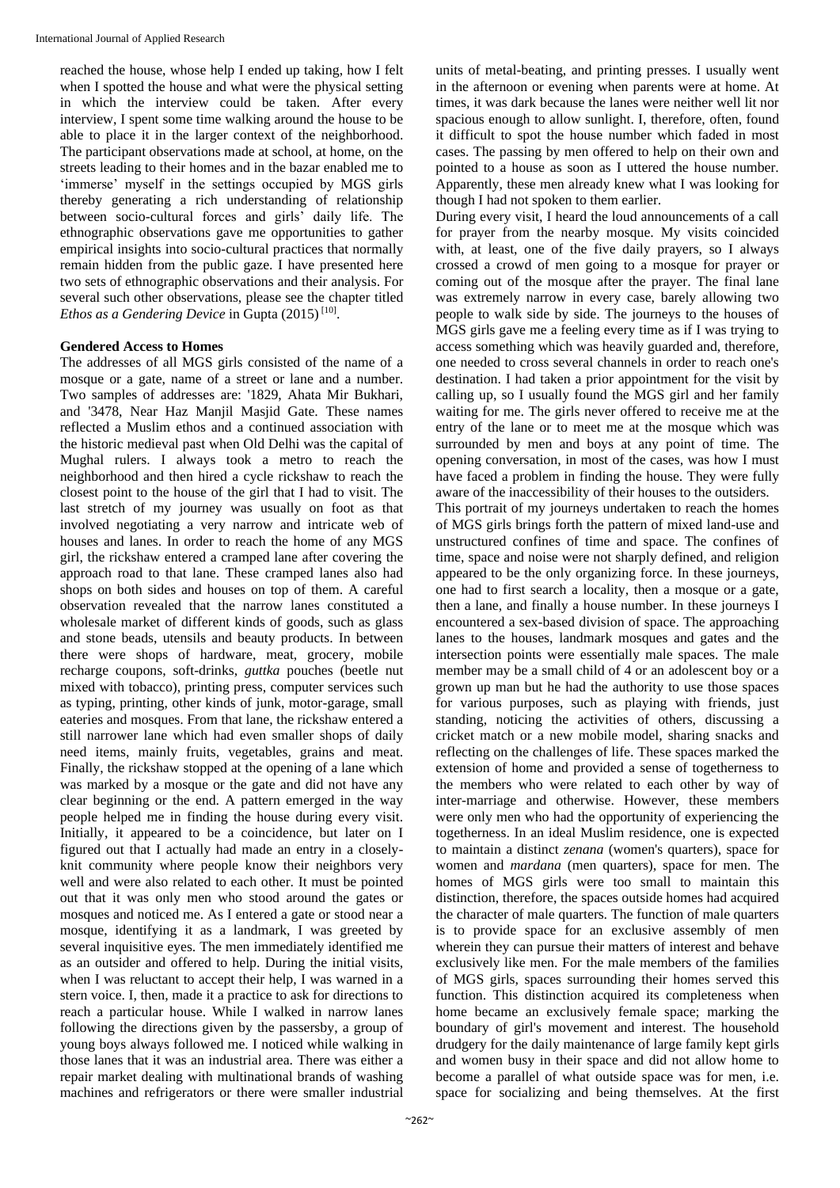reached the house, whose help I ended up taking, how I felt when I spotted the house and what were the physical setting in which the interview could be taken. After every interview, I spent some time walking around the house to be able to place it in the larger context of the neighborhood. The participant observations made at school, at home, on the streets leading to their homes and in the bazar enabled me to 'immerse' myself in the settings occupied by MGS girls thereby generating a rich understanding of relationship between socio-cultural forces and girls' daily life. The ethnographic observations gave me opportunities to gather empirical insights into socio-cultural practices that normally remain hidden from the public gaze. I have presented here two sets of ethnographic observations and their analysis. For several such other observations, please see the chapter titled Ethos as a Gendering Device in Gupta (2015)<sup>[10]</sup>.

#### **Gendered Access to Homes**

The addresses of all MGS girls consisted of the name of a mosque or a gate, name of a street or lane and a number. Two samples of addresses are: '1829, Ahata Mir Bukhari, and '3478, Near Haz Manjil Masjid Gate. These names reflected a Muslim ethos and a continued association with the historic medieval past when Old Delhi was the capital of Mughal rulers. I always took a metro to reach the neighborhood and then hired a cycle rickshaw to reach the closest point to the house of the girl that I had to visit. The last stretch of my journey was usually on foot as that involved negotiating a very narrow and intricate web of houses and lanes. In order to reach the home of any MGS girl, the rickshaw entered a cramped lane after covering the approach road to that lane. These cramped lanes also had shops on both sides and houses on top of them. A careful observation revealed that the narrow lanes constituted a wholesale market of different kinds of goods, such as glass and stone beads, utensils and beauty products. In between there were shops of hardware, meat, grocery, mobile recharge coupons, soft-drinks, *guttka* pouches (beetle nut mixed with tobacco), printing press, computer services such as typing, printing, other kinds of junk, motor-garage, small eateries and mosques. From that lane, the rickshaw entered a still narrower lane which had even smaller shops of daily need items, mainly fruits, vegetables, grains and meat. Finally, the rickshaw stopped at the opening of a lane which was marked by a mosque or the gate and did not have any clear beginning or the end. A pattern emerged in the way people helped me in finding the house during every visit. Initially, it appeared to be a coincidence, but later on I figured out that I actually had made an entry in a closelyknit community where people know their neighbors very well and were also related to each other. It must be pointed out that it was only men who stood around the gates or mosques and noticed me. As I entered a gate or stood near a mosque, identifying it as a landmark, I was greeted by several inquisitive eyes. The men immediately identified me as an outsider and offered to help. During the initial visits, when I was reluctant to accept their help, I was warned in a stern voice. I, then, made it a practice to ask for directions to reach a particular house. While I walked in narrow lanes following the directions given by the passersby, a group of young boys always followed me. I noticed while walking in those lanes that it was an industrial area. There was either a repair market dealing with multinational brands of washing machines and refrigerators or there were smaller industrial

units of metal-beating, and printing presses. I usually went in the afternoon or evening when parents were at home. At times, it was dark because the lanes were neither well lit nor spacious enough to allow sunlight. I, therefore, often, found it difficult to spot the house number which faded in most cases. The passing by men offered to help on their own and pointed to a house as soon as I uttered the house number. Apparently, these men already knew what I was looking for though I had not spoken to them earlier.

During every visit, I heard the loud announcements of a call for prayer from the nearby mosque. My visits coincided with, at least, one of the five daily prayers, so I always crossed a crowd of men going to a mosque for prayer or coming out of the mosque after the prayer. The final lane was extremely narrow in every case, barely allowing two people to walk side by side. The journeys to the houses of MGS girls gave me a feeling every time as if I was trying to access something which was heavily guarded and, therefore, one needed to cross several channels in order to reach one's destination. I had taken a prior appointment for the visit by calling up, so I usually found the MGS girl and her family waiting for me. The girls never offered to receive me at the entry of the lane or to meet me at the mosque which was surrounded by men and boys at any point of time. The opening conversation, in most of the cases, was how I must have faced a problem in finding the house. They were fully aware of the inaccessibility of their houses to the outsiders.

This portrait of my journeys undertaken to reach the homes of MGS girls brings forth the pattern of mixed land-use and unstructured confines of time and space. The confines of time, space and noise were not sharply defined, and religion appeared to be the only organizing force. In these journeys, one had to first search a locality, then a mosque or a gate, then a lane, and finally a house number. In these journeys I encountered a sex-based division of space. The approaching lanes to the houses, landmark mosques and gates and the intersection points were essentially male spaces. The male member may be a small child of 4 or an adolescent boy or a grown up man but he had the authority to use those spaces for various purposes, such as playing with friends, just standing, noticing the activities of others, discussing a cricket match or a new mobile model, sharing snacks and reflecting on the challenges of life. These spaces marked the extension of home and provided a sense of togetherness to the members who were related to each other by way of inter-marriage and otherwise. However, these members were only men who had the opportunity of experiencing the togetherness. In an ideal Muslim residence, one is expected to maintain a distinct *zenana* (women's quarters), space for women and *mardana* (men quarters), space for men. The homes of MGS girls were too small to maintain this distinction, therefore, the spaces outside homes had acquired the character of male quarters. The function of male quarters is to provide space for an exclusive assembly of men wherein they can pursue their matters of interest and behave exclusively like men. For the male members of the families of MGS girls, spaces surrounding their homes served this function. This distinction acquired its completeness when home became an exclusively female space; marking the boundary of girl's movement and interest. The household drudgery for the daily maintenance of large family kept girls and women busy in their space and did not allow home to become a parallel of what outside space was for men, i.e. space for socializing and being themselves. At the first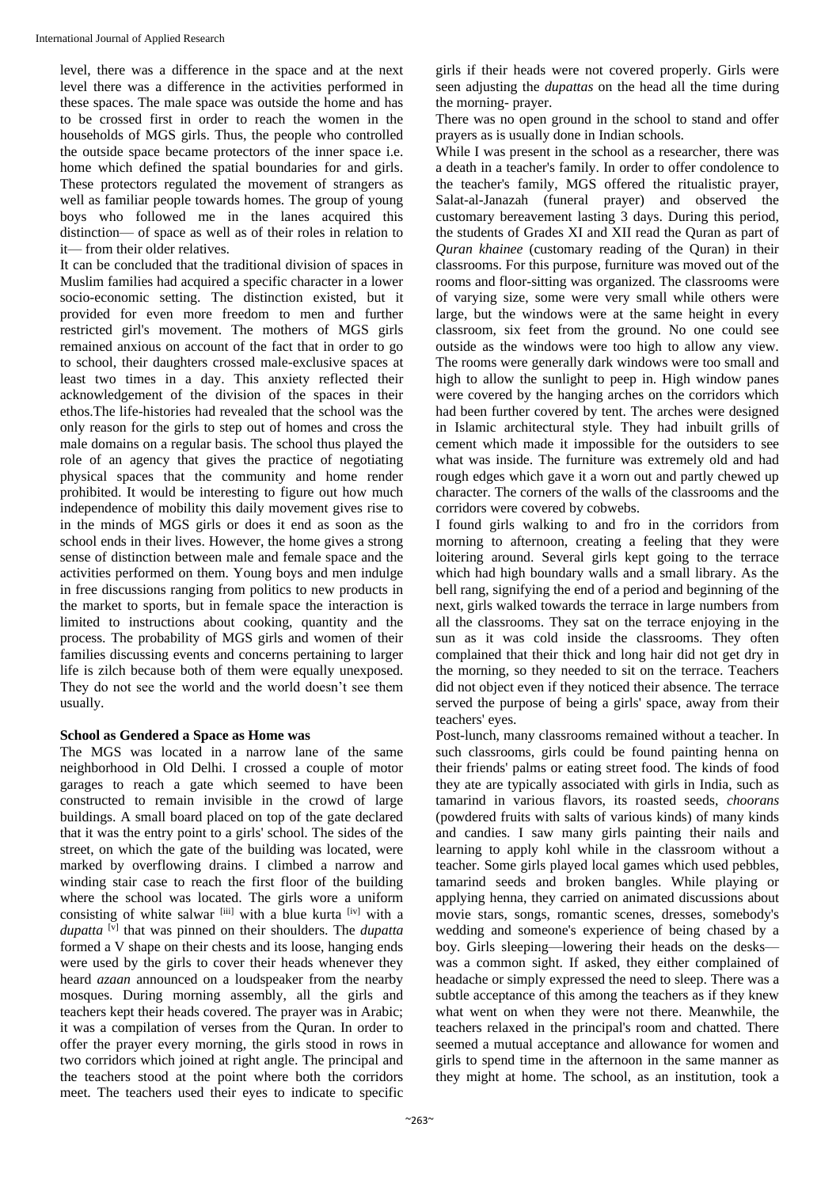level, there was a difference in the space and at the next level there was a difference in the activities performed in these spaces. The male space was outside the home and has to be crossed first in order to reach the women in the households of MGS girls. Thus, the people who controlled the outside space became protectors of the inner space i.e. home which defined the spatial boundaries for and girls. These protectors regulated the movement of strangers as well as familiar people towards homes. The group of young boys who followed me in the lanes acquired this distinction— of space as well as of their roles in relation to it— from their older relatives.

It can be concluded that the traditional division of spaces in Muslim families had acquired a specific character in a lower socio-economic setting. The distinction existed, but it provided for even more freedom to men and further restricted girl's movement. The mothers of MGS girls remained anxious on account of the fact that in order to go to school, their daughters crossed male-exclusive spaces at least two times in a day. This anxiety reflected their acknowledgement of the division of the spaces in their ethos.The life-histories had revealed that the school was the only reason for the girls to step out of homes and cross the male domains on a regular basis. The school thus played the role of an agency that gives the practice of negotiating physical spaces that the community and home render prohibited. It would be interesting to figure out how much independence of mobility this daily movement gives rise to in the minds of MGS girls or does it end as soon as the school ends in their lives. However, the home gives a strong sense of distinction between male and female space and the activities performed on them. Young boys and men indulge in free discussions ranging from politics to new products in the market to sports, but in female space the interaction is limited to instructions about cooking, quantity and the process. The probability of MGS girls and women of their families discussing events and concerns pertaining to larger life is zilch because both of them were equally unexposed. They do not see the world and the world doesn't see them usually.

#### **School as Gendered a Space as Home was**

The MGS was located in a narrow lane of the same neighborhood in Old Delhi. I crossed a couple of motor garages to reach a gate which seemed to have been constructed to remain invisible in the crowd of large buildings. A small board placed on top of the gate declared that it was the entry point to a girls' school. The sides of the street, on which the gate of the building was located, were marked by overflowing drains. I climbed a narrow and winding stair case to reach the first floor of the building where the school was located. The girls wore a uniform consisting of white salwar [iii] with a blue kurta [iv] with a *dupatta* [v] that was pinned on their shoulders. The *dupatta* formed a V shape on their chests and its loose, hanging ends were used by the girls to cover their heads whenever they heard *azaan* announced on a loudspeaker from the nearby mosques. During morning assembly, all the girls and teachers kept their heads covered. The prayer was in Arabic; it was a compilation of verses from the Quran. In order to offer the prayer every morning, the girls stood in rows in two corridors which joined at right angle. The principal and the teachers stood at the point where both the corridors meet. The teachers used their eyes to indicate to specific

girls if their heads were not covered properly. Girls were seen adjusting the *dupattas* on the head all the time during the morning- prayer.

There was no open ground in the school to stand and offer prayers as is usually done in Indian schools.

While I was present in the school as a researcher, there was a death in a teacher's family. In order to offer condolence to the teacher's family, MGS offered the ritualistic prayer, Salat-al-Janazah (funeral prayer) and observed the customary bereavement lasting 3 days. During this period, the students of Grades XI and XII read the Quran as part of *Quran khainee* (customary reading of the Quran) in their classrooms. For this purpose, furniture was moved out of the rooms and floor-sitting was organized. The classrooms were of varying size, some were very small while others were large, but the windows were at the same height in every classroom, six feet from the ground. No one could see outside as the windows were too high to allow any view. The rooms were generally dark windows were too small and high to allow the sunlight to peep in. High window panes were covered by the hanging arches on the corridors which had been further covered by tent. The arches were designed in Islamic architectural style. They had inbuilt grills of cement which made it impossible for the outsiders to see what was inside. The furniture was extremely old and had rough edges which gave it a worn out and partly chewed up character. The corners of the walls of the classrooms and the corridors were covered by cobwebs.

I found girls walking to and fro in the corridors from morning to afternoon, creating a feeling that they were loitering around. Several girls kept going to the terrace which had high boundary walls and a small library. As the bell rang, signifying the end of a period and beginning of the next, girls walked towards the terrace in large numbers from all the classrooms. They sat on the terrace enjoying in the sun as it was cold inside the classrooms. They often complained that their thick and long hair did not get dry in the morning, so they needed to sit on the terrace. Teachers did not object even if they noticed their absence. The terrace served the purpose of being a girls' space, away from their teachers' eyes.

Post-lunch, many classrooms remained without a teacher. In such classrooms, girls could be found painting henna on their friends' palms or eating street food. The kinds of food they ate are typically associated with girls in India, such as tamarind in various flavors, its roasted seeds, *choorans* (powdered fruits with salts of various kinds) of many kinds and candies. I saw many girls painting their nails and learning to apply kohl while in the classroom without a teacher. Some girls played local games which used pebbles, tamarind seeds and broken bangles. While playing or applying henna, they carried on animated discussions about movie stars, songs, romantic scenes, dresses, somebody's wedding and someone's experience of being chased by a boy. Girls sleeping—lowering their heads on the desks was a common sight. If asked, they either complained of headache or simply expressed the need to sleep. There was a subtle acceptance of this among the teachers as if they knew what went on when they were not there. Meanwhile, the teachers relaxed in the principal's room and chatted. There seemed a mutual acceptance and allowance for women and girls to spend time in the afternoon in the same manner as they might at home. The school, as an institution, took a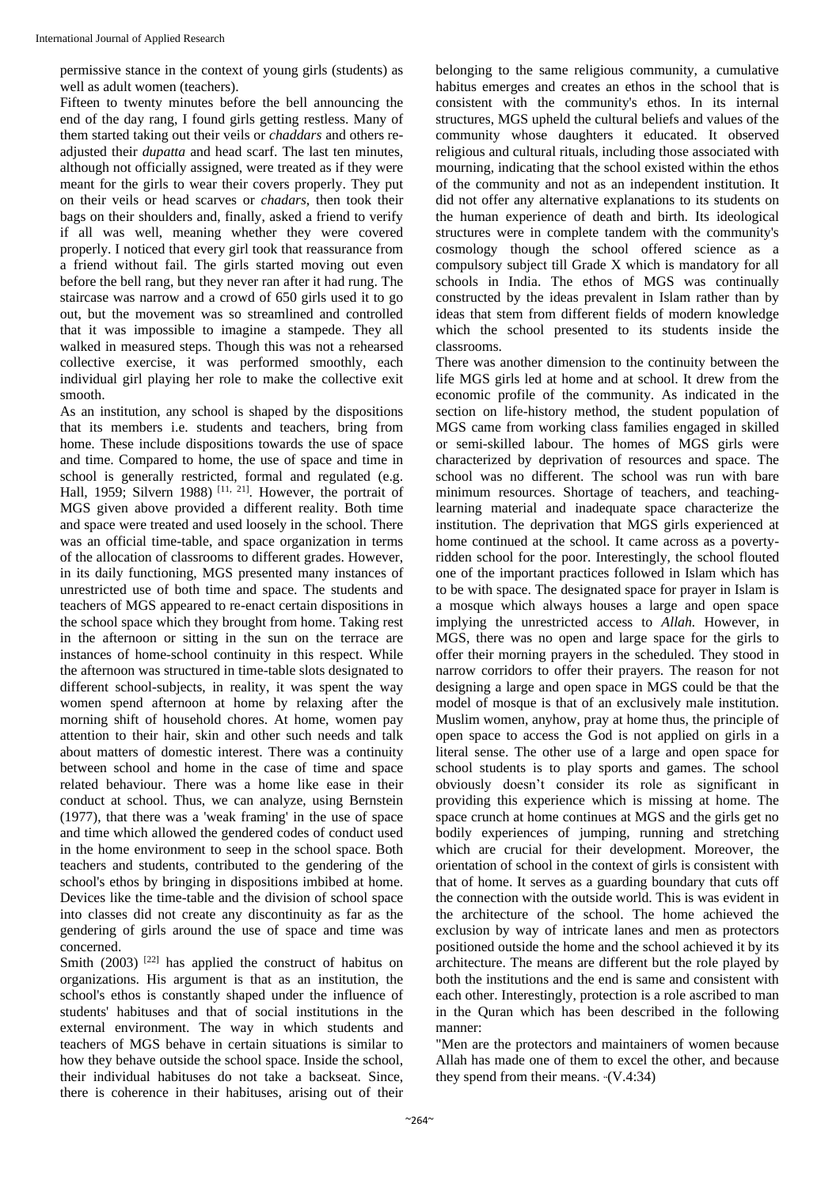permissive stance in the context of young girls (students) as well as adult women (teachers).

Fifteen to twenty minutes before the bell announcing the end of the day rang, I found girls getting restless. Many of them started taking out their veils or *chaddars* and others readjusted their *dupatta* and head scarf. The last ten minutes, although not officially assigned, were treated as if they were meant for the girls to wear their covers properly. They put on their veils or head scarves or *chadars,* then took their bags on their shoulders and, finally, asked a friend to verify if all was well, meaning whether they were covered properly. I noticed that every girl took that reassurance from a friend without fail. The girls started moving out even before the bell rang, but they never ran after it had rung. The staircase was narrow and a crowd of 650 girls used it to go out, but the movement was so streamlined and controlled that it was impossible to imagine a stampede. They all walked in measured steps. Though this was not a rehearsed collective exercise, it was performed smoothly, each individual girl playing her role to make the collective exit smooth.

As an institution, any school is shaped by the dispositions that its members i.e. students and teachers, bring from home. These include dispositions towards the use of space and time. Compared to home, the use of space and time in school is generally restricted, formal and regulated (e.g. Hall, 1959; Silvern 1988)<sup>[11, 21]</sup>. However, the portrait of MGS given above provided a different reality. Both time and space were treated and used loosely in the school. There was an official time-table, and space organization in terms of the allocation of classrooms to different grades. However, in its daily functioning, MGS presented many instances of unrestricted use of both time and space. The students and teachers of MGS appeared to re-enact certain dispositions in the school space which they brought from home. Taking rest in the afternoon or sitting in the sun on the terrace are instances of home-school continuity in this respect. While the afternoon was structured in time-table slots designated to different school-subjects, in reality, it was spent the way women spend afternoon at home by relaxing after the morning shift of household chores. At home, women pay attention to their hair, skin and other such needs and talk about matters of domestic interest. There was a continuity between school and home in the case of time and space related behaviour. There was a home like ease in their conduct at school. Thus, we can analyze, using Bernstein (1977), that there was a 'weak framing' in the use of space and time which allowed the gendered codes of conduct used in the home environment to seep in the school space. Both teachers and students, contributed to the gendering of the school's ethos by bringing in dispositions imbibed at home. Devices like the time-table and the division of school space into classes did not create any discontinuity as far as the gendering of girls around the use of space and time was concerned.

Smith (2003)  $[22]$  has applied the construct of habitus on organizations. His argument is that as an institution, the school's ethos is constantly shaped under the influence of students' habituses and that of social institutions in the external environment. The way in which students and teachers of MGS behave in certain situations is similar to how they behave outside the school space. Inside the school, their individual habituses do not take a backseat. Since, there is coherence in their habituses, arising out of their

belonging to the same religious community, a cumulative habitus emerges and creates an ethos in the school that is consistent with the community's ethos. In its internal structures, MGS upheld the cultural beliefs and values of the community whose daughters it educated. It observed religious and cultural rituals, including those associated with mourning, indicating that the school existed within the ethos of the community and not as an independent institution. It did not offer any alternative explanations to its students on the human experience of death and birth. Its ideological structures were in complete tandem with the community's cosmology though the school offered science as a compulsory subject till Grade X which is mandatory for all schools in India. The ethos of MGS was continually constructed by the ideas prevalent in Islam rather than by ideas that stem from different fields of modern knowledge which the school presented to its students inside the classrooms.

There was another dimension to the continuity between the life MGS girls led at home and at school. It drew from the economic profile of the community. As indicated in the section on life-history method, the student population of MGS came from working class families engaged in skilled or semi-skilled labour. The homes of MGS girls were characterized by deprivation of resources and space. The school was no different. The school was run with bare minimum resources. Shortage of teachers, and teachinglearning material and inadequate space characterize the institution. The deprivation that MGS girls experienced at home continued at the school. It came across as a povertyridden school for the poor. Interestingly, the school flouted one of the important practices followed in Islam which has to be with space. The designated space for prayer in Islam is a mosque which always houses a large and open space implying the unrestricted access to *Allah.* However, in MGS, there was no open and large space for the girls to offer their morning prayers in the scheduled. They stood in narrow corridors to offer their prayers. The reason for not designing a large and open space in MGS could be that the model of mosque is that of an exclusively male institution. Muslim women, anyhow, pray at home thus, the principle of open space to access the God is not applied on girls in a literal sense. The other use of a large and open space for school students is to play sports and games. The school obviously doesn't consider its role as significant in providing this experience which is missing at home. The space crunch at home continues at MGS and the girls get no bodily experiences of jumping, running and stretching which are crucial for their development. Moreover, the orientation of school in the context of girls is consistent with that of home. It serves as a guarding boundary that cuts off the connection with the outside world. This is was evident in the architecture of the school. The home achieved the exclusion by way of intricate lanes and men as protectors positioned outside the home and the school achieved it by its architecture. The means are different but the role played by both the institutions and the end is same and consistent with each other. Interestingly, protection is a role ascribed to man in the Quran which has been described in the following manner:

"Men are the protectors and maintainers of women because Allah has made one of them to excel the other, and because they spend from their means. "(V.4:34)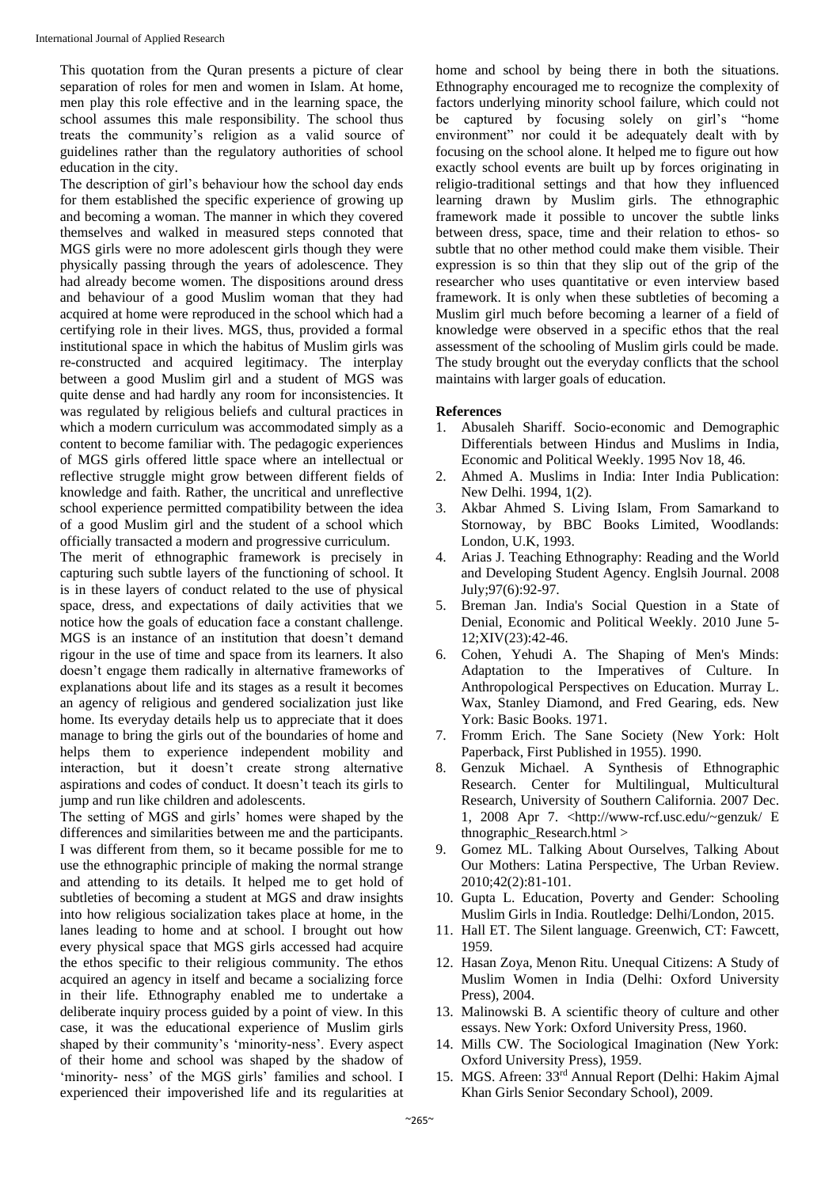This quotation from the Quran presents a picture of clear separation of roles for men and women in Islam. At home, men play this role effective and in the learning space, the school assumes this male responsibility. The school thus treats the community's religion as a valid source of guidelines rather than the regulatory authorities of school education in the city.

The description of girl's behaviour how the school day ends for them established the specific experience of growing up and becoming a woman. The manner in which they covered themselves and walked in measured steps connoted that MGS girls were no more adolescent girls though they were physically passing through the years of adolescence. They had already become women. The dispositions around dress and behaviour of a good Muslim woman that they had acquired at home were reproduced in the school which had a certifying role in their lives. MGS, thus, provided a formal institutional space in which the habitus of Muslim girls was re-constructed and acquired legitimacy. The interplay between a good Muslim girl and a student of MGS was quite dense and had hardly any room for inconsistencies. It was regulated by religious beliefs and cultural practices in which a modern curriculum was accommodated simply as a content to become familiar with. The pedagogic experiences of MGS girls offered little space where an intellectual or reflective struggle might grow between different fields of knowledge and faith. Rather, the uncritical and unreflective school experience permitted compatibility between the idea of a good Muslim girl and the student of a school which officially transacted a modern and progressive curriculum.

The merit of ethnographic framework is precisely in capturing such subtle layers of the functioning of school. It is in these layers of conduct related to the use of physical space, dress, and expectations of daily activities that we notice how the goals of education face a constant challenge. MGS is an instance of an institution that doesn't demand rigour in the use of time and space from its learners. It also doesn't engage them radically in alternative frameworks of explanations about life and its stages as a result it becomes an agency of religious and gendered socialization just like home. Its everyday details help us to appreciate that it does manage to bring the girls out of the boundaries of home and helps them to experience independent mobility and interaction, but it doesn't create strong alternative aspirations and codes of conduct. It doesn't teach its girls to jump and run like children and adolescents.

The setting of MGS and girls' homes were shaped by the differences and similarities between me and the participants. I was different from them, so it became possible for me to use the ethnographic principle of making the normal strange and attending to its details. It helped me to get hold of subtleties of becoming a student at MGS and draw insights into how religious socialization takes place at home, in the lanes leading to home and at school. I brought out how every physical space that MGS girls accessed had acquire the ethos specific to their religious community. The ethos acquired an agency in itself and became a socializing force in their life. Ethnography enabled me to undertake a deliberate inquiry process guided by a point of view. In this case, it was the educational experience of Muslim girls shaped by their community's 'minority-ness'. Every aspect of their home and school was shaped by the shadow of 'minority- ness' of the MGS girls' families and school. I experienced their impoverished life and its regularities at

home and school by being there in both the situations. Ethnography encouraged me to recognize the complexity of factors underlying minority school failure, which could not be captured by focusing solely on girl's "home environment" nor could it be adequately dealt with by focusing on the school alone. It helped me to figure out how exactly school events are built up by forces originating in religio-traditional settings and that how they influenced learning drawn by Muslim girls. The ethnographic framework made it possible to uncover the subtle links between dress, space, time and their relation to ethos- so subtle that no other method could make them visible. Their expression is so thin that they slip out of the grip of the researcher who uses quantitative or even interview based framework. It is only when these subtleties of becoming a Muslim girl much before becoming a learner of a field of knowledge were observed in a specific ethos that the real assessment of the schooling of Muslim girls could be made. The study brought out the everyday conflicts that the school maintains with larger goals of education.

#### **References**

- 1. Abusaleh Shariff. Socio-economic and Demographic Differentials between Hindus and Muslims in India, Economic and Political Weekly. 1995 Nov 18, 46.
- 2. Ahmed A. Muslims in India: Inter India Publication: New Delhi. 1994, 1(2).
- 3. Akbar Ahmed S. Living Islam, From Samarkand to Stornoway, by BBC Books Limited, Woodlands: London, U.K, 1993.
- 4. Arias J. Teaching Ethnography: Reading and the World and Developing Student Agency. Englsih Journal. 2008 July;97(6):92-97.
- 5. Breman Jan. India's Social Question in a State of Denial, Economic and Political Weekly. 2010 June 5- 12;XIV(23):42-46.
- 6. Cohen, Yehudi A. The Shaping of Men's Minds: Adaptation to the Imperatives of Culture. In Anthropological Perspectives on Education. Murray L. Wax, Stanley Diamond, and Fred Gearing, eds. New York: Basic Books. 1971.
- 7. Fromm Erich. The Sane Society (New York: Holt Paperback, First Published in 1955). 1990.
- 8. Genzuk Michael. A Synthesis of Ethnographic Research. Center for Multilingual, Multicultural Research, University of Southern California. 2007 Dec. 1, 2008 Apr 7. <http://www-rcf.usc.edu/~genzuk/ E thnographic\_Research.html >
- 9. Gomez ML. Talking About Ourselves, Talking About Our Mothers: Latina Perspective, The Urban Review. 2010;42(2):81-101.
- 10. Gupta L. Education, Poverty and Gender: Schooling Muslim Girls in India. Routledge: Delhi/London, 2015.
- 11. Hall ET. The Silent language. Greenwich, CT: Fawcett, 1959.
- 12. Hasan Zoya, Menon Ritu. Unequal Citizens: A Study of Muslim Women in India (Delhi: Oxford University Press), 2004.
- 13. Malinowski B. A scientific theory of culture and other essays. New York: Oxford University Press, 1960.
- 14. Mills CW. The Sociological Imagination (New York: Oxford University Press), 1959.
- 15. MGS. Afreen: 33rd Annual Report (Delhi: Hakim Ajmal Khan Girls Senior Secondary School), 2009.